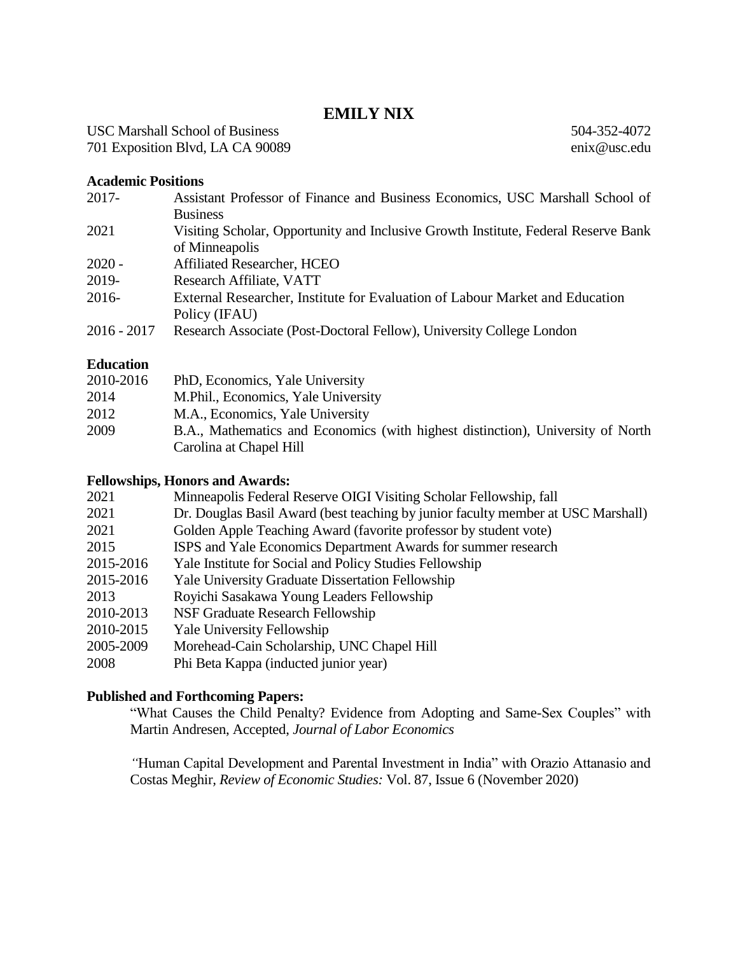## **EMILY NIX**

504-352-4072 enix@usc.edu

USC Marshall School of Business 701 Exposition Blvd, LA CA 90089

**Academic Positions**

| $2017 -$      | Assistant Professor of Finance and Business Economics, USC Marshall School of      |
|---------------|------------------------------------------------------------------------------------|
|               | <b>Business</b>                                                                    |
| 2021          | Visiting Scholar, Opportunity and Inclusive Growth Institute, Federal Reserve Bank |
|               | of Minneapolis                                                                     |
| $2020 -$      | <b>Affiliated Researcher, HCEO</b>                                                 |
| 2019-         | Research Affiliate, VATT                                                           |
| $2016 -$      | External Researcher, Institute for Evaluation of Labour Market and Education       |
|               | Policy (IFAU)                                                                      |
| $2016 - 2017$ | Research Associate (Post-Doctoral Fellow), University College London               |

### **Education**

| 2010-2016 | PhD, Economics, Yale University                                                 |
|-----------|---------------------------------------------------------------------------------|
| 2014      | M.Phil., Economics, Yale University                                             |
| 2012      | M.A., Economics, Yale University                                                |
| 2009      | B.A., Mathematics and Economics (with highest distinction), University of North |
|           | Carolina at Chapel Hill                                                         |

#### **Fellowships, Honors and Awards:**

| 2021                 | Minneapolis Federal Reserve OIGI Visiting Scholar Fellowship, fall               |
|----------------------|----------------------------------------------------------------------------------|
| 2021                 | Dr. Douglas Basil Award (best teaching by junior faculty member at USC Marshall) |
| 2021                 | Golden Apple Teaching Award (favorite professor by student vote)                 |
| 2015                 | ISPS and Yale Economics Department Awards for summer research                    |
| 2015-2016            | Yale Institute for Social and Policy Studies Fellowship                          |
| 2015-2016            | <b>Yale University Graduate Dissertation Fellowship</b>                          |
| 2013                 | Royichi Sasakawa Young Leaders Fellowship                                        |
| 2010-2013            | NSF Graduate Research Fellowship                                                 |
| 2010-2015            | <b>Yale University Fellowship</b>                                                |
| 2005-2009            | Morehead-Cain Scholarship, UNC Chapel Hill                                       |
| $\sim$ $\sim$ $\sim$ |                                                                                  |

# 2008 Phi Beta Kappa (inducted junior year)

## **Published and Forthcoming Papers:**

"What Causes the Child Penalty? Evidence from Adopting and Same-Sex Couples" with Martin Andresen, Accepted, *Journal of Labor Economics*

*"*Human Capital Development and Parental Investment in India" with Orazio Attanasio and Costas Meghir*, Review of Economic Studies:* Vol. 87, Issue 6 (November 2020)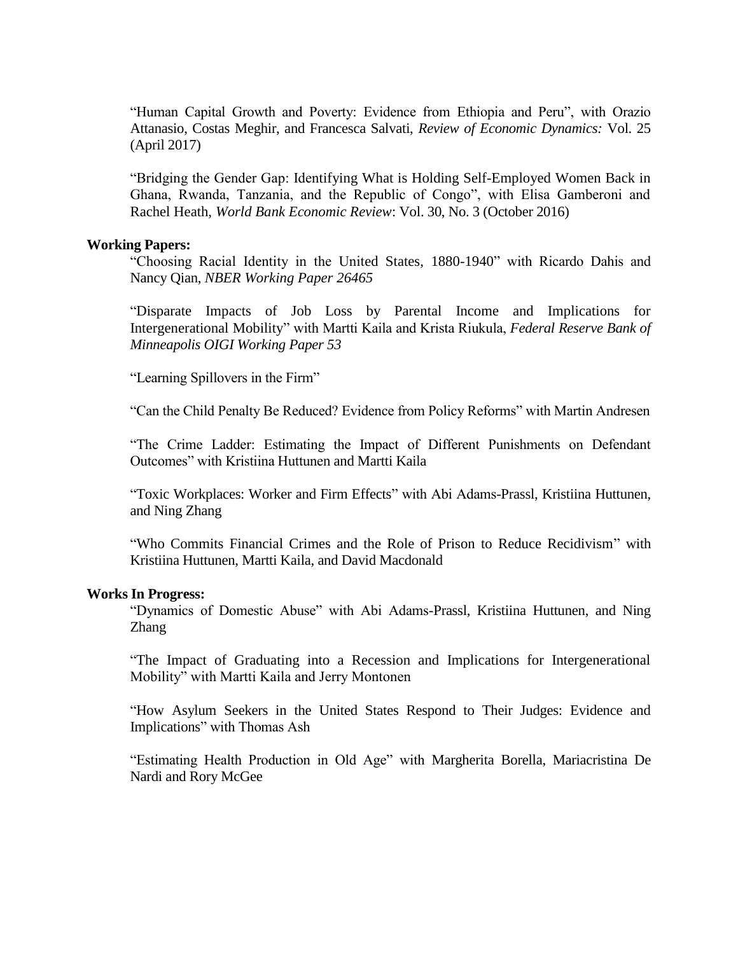"Human Capital Growth and Poverty: Evidence from Ethiopia and Peru", with Orazio Attanasio, Costas Meghir, and Francesca Salvati, *Review of Economic Dynamics:* Vol. 25 (April 2017)

"Bridging the Gender Gap: Identifying What is Holding Self-Employed Women Back in Ghana, Rwanda, Tanzania, and the Republic of Congo", with Elisa Gamberoni and Rachel Heath, *World Bank Economic Review*: Vol. 30, No. 3 (October 2016)

#### **Working Papers:**

"Choosing Racial Identity in the United States, 1880-1940" with Ricardo Dahis and Nancy Qian, *NBER Working Paper 26465*

"Disparate Impacts of Job Loss by Parental Income and Implications for Intergenerational Mobility" with Martti Kaila and Krista Riukula, *Federal Reserve Bank of Minneapolis OIGI Working Paper 53*

"Learning Spillovers in the Firm"

"Can the Child Penalty Be Reduced? Evidence from Policy Reforms" with Martin Andresen

"The Crime Ladder: Estimating the Impact of Different Punishments on Defendant Outcomes" with Kristiina Huttunen and Martti Kaila

"Toxic Workplaces: Worker and Firm Effects" with Abi Adams-Prassl, Kristiina Huttunen, and Ning Zhang

"Who Commits Financial Crimes and the Role of Prison to Reduce Recidivism" with Kristiina Huttunen, Martti Kaila, and David Macdonald

#### **Works In Progress:**

"Dynamics of Domestic Abuse" with Abi Adams-Prassl, Kristiina Huttunen, and Ning Zhang

"The Impact of Graduating into a Recession and Implications for Intergenerational Mobility" with Martti Kaila and Jerry Montonen

"How Asylum Seekers in the United States Respond to Their Judges: Evidence and Implications" with Thomas Ash

"Estimating Health Production in Old Age" with Margherita Borella, Mariacristina De Nardi and Rory McGee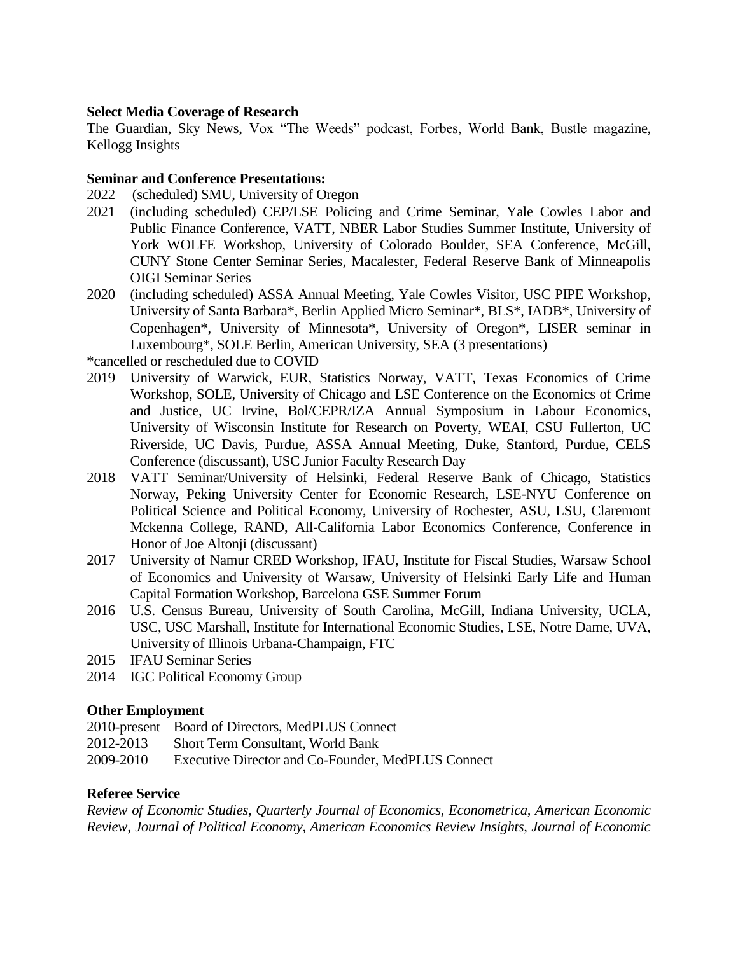#### **Select Media Coverage of Research**

The Guardian, Sky News, Vox "The Weeds" podcast, Forbes, World Bank, Bustle magazine, Kellogg Insights

#### **Seminar and Conference Presentations:**

- 2022 (scheduled) SMU, University of Oregon
- 2021 (including scheduled) CEP/LSE Policing and Crime Seminar, Yale Cowles Labor and Public Finance Conference, VATT, NBER Labor Studies Summer Institute, University of York WOLFE Workshop, University of Colorado Boulder, SEA Conference, McGill, CUNY Stone Center Seminar Series, Macalester, Federal Reserve Bank of Minneapolis OIGI Seminar Series
- 2020 (including scheduled) ASSA Annual Meeting, Yale Cowles Visitor, USC PIPE Workshop, University of Santa Barbara\*, Berlin Applied Micro Seminar\*, BLS\*, IADB\*, University of Copenhagen\*, University of Minnesota\*, University of Oregon\*, LISER seminar in Luxembourg\*, SOLE Berlin, American University, SEA (3 presentations)

\*cancelled or rescheduled due to COVID

- 2019 University of Warwick, EUR, Statistics Norway, VATT, Texas Economics of Crime Workshop, SOLE, University of Chicago and LSE Conference on the Economics of Crime and Justice, UC Irvine, Bol/CEPR/IZA Annual Symposium in Labour Economics, University of Wisconsin Institute for Research on Poverty, WEAI, CSU Fullerton, UC Riverside, UC Davis, Purdue, ASSA Annual Meeting, Duke, Stanford, Purdue, CELS Conference (discussant), USC Junior Faculty Research Day
- 2018 VATT Seminar/University of Helsinki, Federal Reserve Bank of Chicago, Statistics Norway, Peking University Center for Economic Research, LSE-NYU Conference on Political Science and Political Economy, University of Rochester, ASU, LSU, Claremont Mckenna College, RAND, All-California Labor Economics Conference, Conference in Honor of Joe Altonji (discussant)
- 2017 University of Namur CRED Workshop, IFAU, Institute for Fiscal Studies, Warsaw School of Economics and University of Warsaw, University of Helsinki Early Life and Human Capital Formation Workshop, Barcelona GSE Summer Forum
- 2016 U.S. Census Bureau, University of South Carolina, McGill, Indiana University, UCLA, USC, USC Marshall, Institute for International Economic Studies, LSE, Notre Dame, UVA, University of Illinois Urbana-Champaign, FTC
- 2015 IFAU Seminar Series
- 2014 IGC Political Economy Group

#### **Other Employment**

- 2010-present Board of Directors, MedPLUS Connect
- 2012-2013 Short Term Consultant, World Bank
- 2009-2010 Executive Director and Co-Founder, MedPLUS Connect

#### **Referee Service**

*Review of Economic Studies, Quarterly Journal of Economics, Econometrica, American Economic Review, Journal of Political Economy, American Economics Review Insights, Journal of Economic*